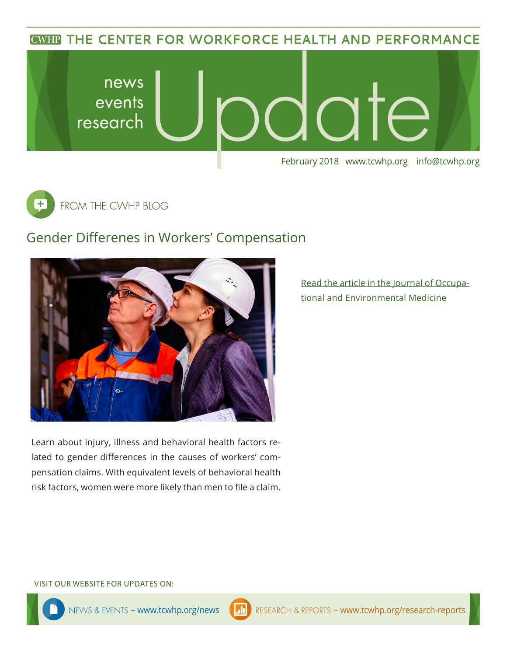**CWHP THE CENTER FOR WORKFORCE HEALTH AND PERFORMANCE** 





## Gender Differenes in Workers' Compensation



Learn about injury, illness and behavioral health factors related to gender differences in the causes of workers' compensation claims. With equivalent levels of behavioral health risk factors, women were more likely than men to file a claim. [Read the article in the Journal of Occupa](https://www.ncbi.nlm.nih.gov/pubmed/29438153)[tional and Environmental Medicine](https://www.ncbi.nlm.nih.gov/pubmed/29438153)

#### VISIT OUR WEBSITE FOR UPDATES ON: